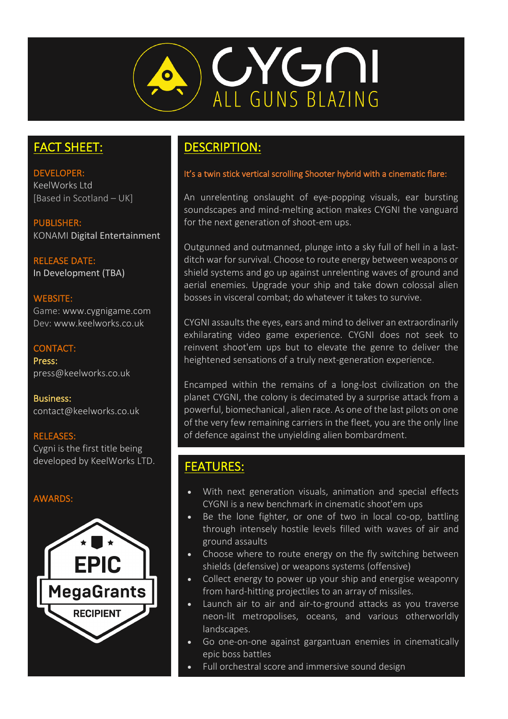

# FACT SHEET:

DEVELOPER: KeelWorks Ltd [Based in Scotland – UK]

PUBLISHER: KONAMI Digital Entertainment

RELEASE DATE: In Development (TBA)

#### WEBSITE:

Game: www.cygnigame.com Dev: www.keelworks.co.uk

### CONTACT:

Press: press@keelworks.co.uk

Business: contact@keelworks.co.uk

### RELEASES:

Cygni is the first title being developed by KeelWorks LTD.

### AWARDS:



# DESCRIPTION:

#### It's a twin stick vertical scrolling Shooter hybrid with a cinematic flare:

An unrelenting onslaught of eye-popping visuals, ear bursting soundscapes and mind-melting action makes CYGNI the vanguard for the next generation of shoot-em ups.

Outgunned and outmanned, plunge into a sky full of hell in a lastditch war for survival. Choose to route energy between weapons or shield systems and go up against unrelenting waves of ground and aerial enemies. Upgrade your ship and take down colossal alien bosses in visceral combat; do whatever it takes to survive.

CYGNI assaults the eyes, ears and mind to deliver an extraordinarily exhilarating video game experience. CYGNI does not seek to reinvent shoot'em ups but to elevate the genre to deliver the heightened sensations of a truly next-generation experience.

Encamped within the remains of a long-lost civilization on the planet CYGNI, the colony is decimated by a surprise attack from a powerful, biomechanical , alien race. As one of the last pilots on one of the very few remaining carriers in the fleet, you are the only line of defence against the unyielding alien bombardment.

# FEATURES:

- With next generation visuals, animation and special effects CYGNI is a new benchmark in cinematic shoot'em ups
- Be the lone fighter, or one of two in local co-op, battling through intensely hostile levels filled with waves of air and ground assaults
- Choose where to route energy on the fly switching between shields (defensive) or weapons systems (offensive)
- Collect energy to power up your ship and energise weaponry from hard-hitting projectiles to an array of missiles.
- Launch air to air and air-to-ground attacks as you traverse neon-lit metropolises, oceans, and various otherworldly landscapes.
- Go one-on-one against gargantuan enemies in cinematically epic boss battles
- Full orchestral score and immersive sound design